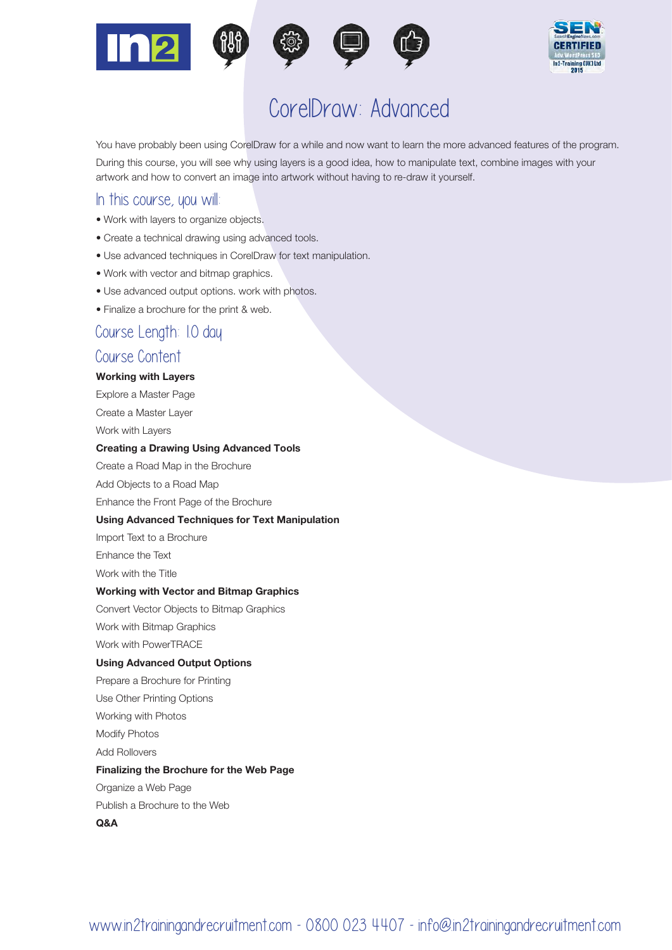



# CorelDraw: Advanced

You have probably been using CorelDraw for a while and now want to learn the more advanced features of the program. During this course, you will see why using layers is a good idea, how to manipulate text, combine images with your artwork and how to convert an image into artwork without having to re-draw it yourself.

## In this course, you will:

- Work with layers to organize objects.
- Create a technical drawing using advanced tools.
- Use advanced techniques in CorelDraw for text manipulation.
- Work with vector and bitmap graphics.
- Use advanced output options. work with photos.
- Finalize a brochure for the print & web.

# Course Length: 1.0 day

## Course Content

#### Working with Layers

Explore a Master Page

Create a Master Layer

Work with Layers

#### Creating a Drawing Using Advanced Tools

Create a Road Map in the Brochure

Add Objects to a Road Map

Enhance the Front Page of the Brochure

#### Using Advanced Techniques for Text Manipulation

Import Text to a Brochure

Enhance the Text

Work with the Title

#### Working with Vector and Bitmap Graphics

Convert Vector Objects to Bitmap Graphics

Work with Bitmap Graphics

Work with PowerTRACE

#### Using Advanced Output Options

Prepare a Brochure for Printing

Use Other Printing Options

Working with Photos

Modify Photos

Add Rollovers

#### Finalizing the Brochure for the Web Page

Organize a Web Page

Publish a Brochure to the Web

Q&A